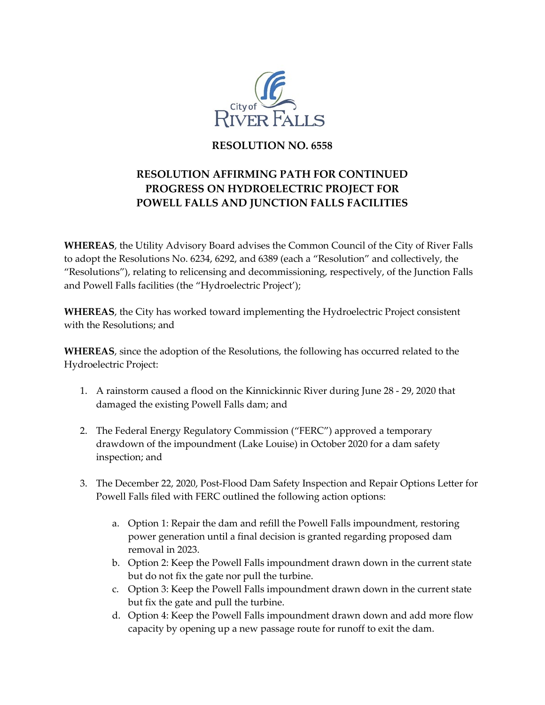

## **RESOLUTION NO. 6558**

## **RESOLUTION AFFIRMING PATH FOR CONTINUED PROGRESS ON HYDROELECTRIC PROJECT FOR POWELL FALLS AND JUNCTION FALLS FACILITIES**

**WHEREAS**, the Utility Advisory Board advises the Common Council of the City of River Falls to adopt the Resolutions No. 6234, 6292, and 6389 (each a "Resolution" and collectively, the "Resolutions"), relating to relicensing and decommissioning, respectively, of the Junction Falls and Powell Falls facilities (the "Hydroelectric Project');

**WHEREAS**, the City has worked toward implementing the Hydroelectric Project consistent with the Resolutions; and

**WHEREAS**, since the adoption of the Resolutions, the following has occurred related to the Hydroelectric Project:

- 1. A rainstorm caused a flood on the Kinnickinnic River during June 28 29, 2020 that damaged the existing Powell Falls dam; and
- 2. The Federal Energy Regulatory Commission ("FERC") approved a temporary drawdown of the impoundment (Lake Louise) in October 2020 for a dam safety inspection; and
- 3. The December 22, 2020, Post-Flood Dam Safety Inspection and Repair Options Letter for Powell Falls filed with FERC outlined the following action options:
	- a. Option 1: Repair the dam and refill the Powell Falls impoundment, restoring power generation until a final decision is granted regarding proposed dam removal in 2023.
	- b. Option 2: Keep the Powell Falls impoundment drawn down in the current state but do not fix the gate nor pull the turbine.
	- c. Option 3: Keep the Powell Falls impoundment drawn down in the current state but fix the gate and pull the turbine.
	- d. Option 4: Keep the Powell Falls impoundment drawn down and add more flow capacity by opening up a new passage route for runoff to exit the dam.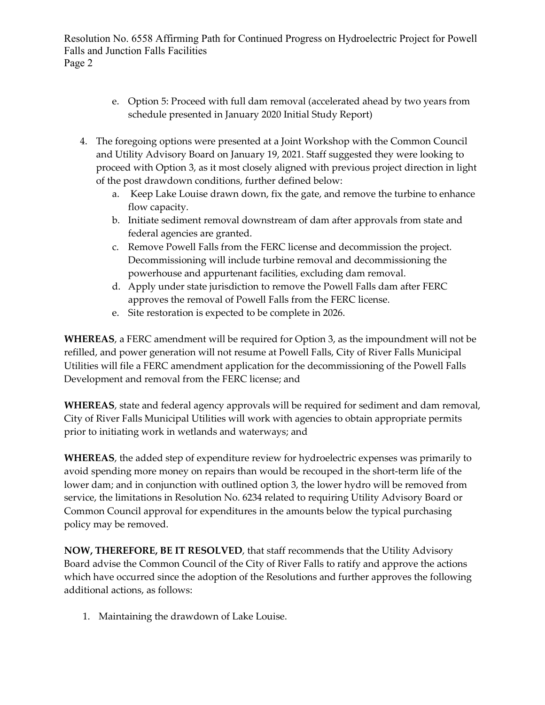Resolution No. 6558 Affirming Path for Continued Progress on Hydroelectric Project for Powell Falls and Junction Falls Facilities Page 2

- e. Option 5: Proceed with full dam removal (accelerated ahead by two years from schedule presented in January 2020 Initial Study Report)
- 4. The foregoing options were presented at a Joint Workshop with the Common Council and Utility Advisory Board on January 19, 2021. Staff suggested they were looking to proceed with Option 3, as it most closely aligned with previous project direction in light of the post drawdown conditions, further defined below:
	- a. Keep Lake Louise drawn down, fix the gate, and remove the turbine to enhance flow capacity.
	- b. Initiate sediment removal downstream of dam after approvals from state and federal agencies are granted.
	- c. Remove Powell Falls from the FERC license and decommission the project. Decommissioning will include turbine removal and decommissioning the powerhouse and appurtenant facilities, excluding dam removal.
	- d. Apply under state jurisdiction to remove the Powell Falls dam after FERC approves the removal of Powell Falls from the FERC license.
	- e. Site restoration is expected to be complete in 2026.

**WHEREAS**, a FERC amendment will be required for Option 3, as the impoundment will not be refilled, and power generation will not resume at Powell Falls, City of River Falls Municipal Utilities will file a FERC amendment application for the decommissioning of the Powell Falls Development and removal from the FERC license; and

**WHEREAS**, state and federal agency approvals will be required for sediment and dam removal, City of River Falls Municipal Utilities will work with agencies to obtain appropriate permits prior to initiating work in wetlands and waterways; and

**WHEREAS**, the added step of expenditure review for hydroelectric expenses was primarily to avoid spending more money on repairs than would be recouped in the short-term life of the lower dam; and in conjunction with outlined option 3, the lower hydro will be removed from service, the limitations in Resolution No. 6234 related to requiring Utility Advisory Board or Common Council approval for expenditures in the amounts below the typical purchasing policy may be removed.

**NOW, THEREFORE, BE IT RESOLVED**, that staff recommends that the Utility Advisory Board advise the Common Council of the City of River Falls to ratify and approve the actions which have occurred since the adoption of the Resolutions and further approves the following additional actions, as follows:

1. Maintaining the drawdown of Lake Louise.